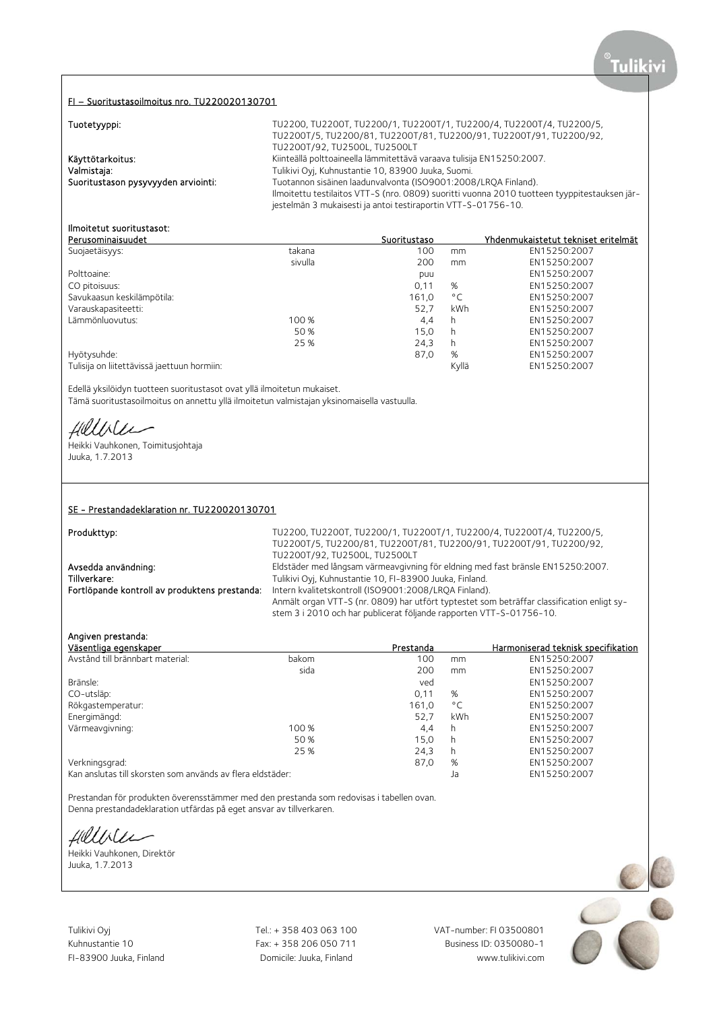### FI – Suoritustasoilmoitus nro. TU220020130701

# **Tuntetwinni**

| Tuotetyyppi:                        | TU2200, TU2200T, TU2200/1, TU2200T/1, TU2200/4, TU2200T/4, TU2200/5,                                                                                          |
|-------------------------------------|---------------------------------------------------------------------------------------------------------------------------------------------------------------|
|                                     | TU2200T/5, TU2200/81, TU2200T/81, TU2200/91, TU2200T/91, TU2200/92,<br>TU2200T/92, TU2500L, TU2500LT                                                          |
| Käyttötarkoitus:                    | Kiinteällä polttoaineella lämmitettävä varaava tulisija EN15250:2007.                                                                                         |
| Valmistaja:                         | Tulikivi Oyj, Kuhnustantie 10, 83900 Juuka, Suomi.                                                                                                            |
| Suoritustason pysyvyyden arviointi: | Tuotannon sisäinen laadunvalvonta (ISO9001:2008/LROA Finland).                                                                                                |
|                                     | Ilmoitettu testilaitos VTT-S (nro. 0809) suoritti vuonna 2010 tuotteen tyyppitestauksen jär-<br>jestelmän 3 mukaisesti ja antoi testiraportin VTT-S-01756-10. |

# Ilmoitetut suoritustasot:

| Perusominaisuudet                           |         | Suoritustaso |              | <u>Yhdenmukaistetut tekniset eritelmät</u> |
|---------------------------------------------|---------|--------------|--------------|--------------------------------------------|
| Suojaetäisyys:                              | takana  | 100          | mm           | EN15250:2007                               |
|                                             | sivulla | 200          | mm           | EN15250:2007                               |
| Polttoaine:                                 |         | puu          |              | EN15250:2007                               |
| CO pitoisuus:                               |         | 0,11         | %            | EN15250:2007                               |
| Savukaasun keskilämpötila:                  |         | 161,0        | $^{\circ}$ C | EN15250:2007                               |
| Varauskapasiteetti:                         |         | 52.7         | kWh          | EN15250:2007                               |
| Lämmönluovutus:                             | 100 %   | 4,4          | h            | EN15250:2007                               |
|                                             | 50 %    | 15.0         | h            | EN15250:2007                               |
|                                             | 25 %    | 24,3         | h            | EN15250:2007                               |
| Hyötysuhde:                                 |         | 87,0         | %            | EN15250:2007                               |
| Tulisija on liitettävissä jaettuun hormiin: |         |              | Kyllä        | EN15250:2007                               |
|                                             |         |              |              |                                            |

Edellä yksilöidyn tuotteen suoritustasot ovat yllä ilmoitetun mukaiset. Tämä suoritustasoilmoitus on annettu yllä ilmoitetun valmistajan yksinomaisella vastuulla.

fillisle

Heikki Vauhkonen, Toimitusjohtaja Juuka, 1.7.2013

### SE - Prestandadeklaration nr. TU220020130701

| Produkttyp:                                   | TU2200, TU2200T, TU2200/1, TU2200T/1, TU2200/4, TU2200T/4, TU2200/5,                       |
|-----------------------------------------------|--------------------------------------------------------------------------------------------|
|                                               | TU2200T/5, TU2200/81, TU2200T/81, TU2200/91, TU2200T/91, TU2200/92,                        |
|                                               | TU2200T/92, TU2500L, TU2500LT                                                              |
| Avsedda användning:                           | Eldstäder med långsam värmeavgivning för eldning med fast bränsle EN15250:2007.            |
| Tillverkare:                                  | Tulikivi Oyj, Kuhnustantie 10, FI-83900 Juuka, Finland.                                    |
| Fortlöpande kontroll av produktens prestanda: | Intern kvalitetskontroll (ISO9001:2008/LROA Finland).                                      |
|                                               | Anmält organ VTT-S (nr. 0809) har utfört typtestet som beträffar classification enligt sy- |
|                                               | stem 3 i 2010 och har publicerat följande rapporten VTT-S-01756-10.                        |

Angiven prestanda:

| Väsentliga egenskaper                                      |       | Prestanda |              | Harmoniserad teknisk specifikation |
|------------------------------------------------------------|-------|-----------|--------------|------------------------------------|
| Avstånd till brännbart material:                           | bakom | 100       | mm           | EN15250:2007                       |
|                                                            | sida  | 200       | mm           | EN15250:2007                       |
| Bränsle:                                                   |       | ved       |              | EN15250:2007                       |
| CO-utsläp:                                                 |       | 0.11      | %            | EN15250:2007                       |
| Rökgastemperatur:                                          |       | 161.0     | $^{\circ}$ C | EN15250:2007                       |
| Energimängd:                                               |       | 52.7      | kWh          | EN15250:2007                       |
| Värmeavgivning:                                            | 100 % | 4,4       | h            | EN15250:2007                       |
|                                                            | 50 %  | 15,0      | h            | EN15250:2007                       |
|                                                            | 25 %  | 24,3      | h            | EN15250:2007                       |
| Verkningsgrad:                                             |       | 87,0      | %            | EN15250:2007                       |
| Kan anslutas till skorsten som används av flera eldstäder: |       |           | Ja           | EN15250:2007                       |

Prestandan för produkten överensstämmer med den prestanda som redovisas i tabellen ovan. Denna prestandadeklaration utfärdas på eget ansvar av tillverkaren.

Hillbler

Heikki Vauhkonen, Direktör Juuka, 1.7.2013

Kuhnustantie 10 Fax: + 358 206 050 711

Tulikivi Oyj Tel.: + 358 403 063 100 VAT-number: FI 03500801 FI-83900 Juuka, Finland Domicile: Juuka, Finland www.tulikivi.com

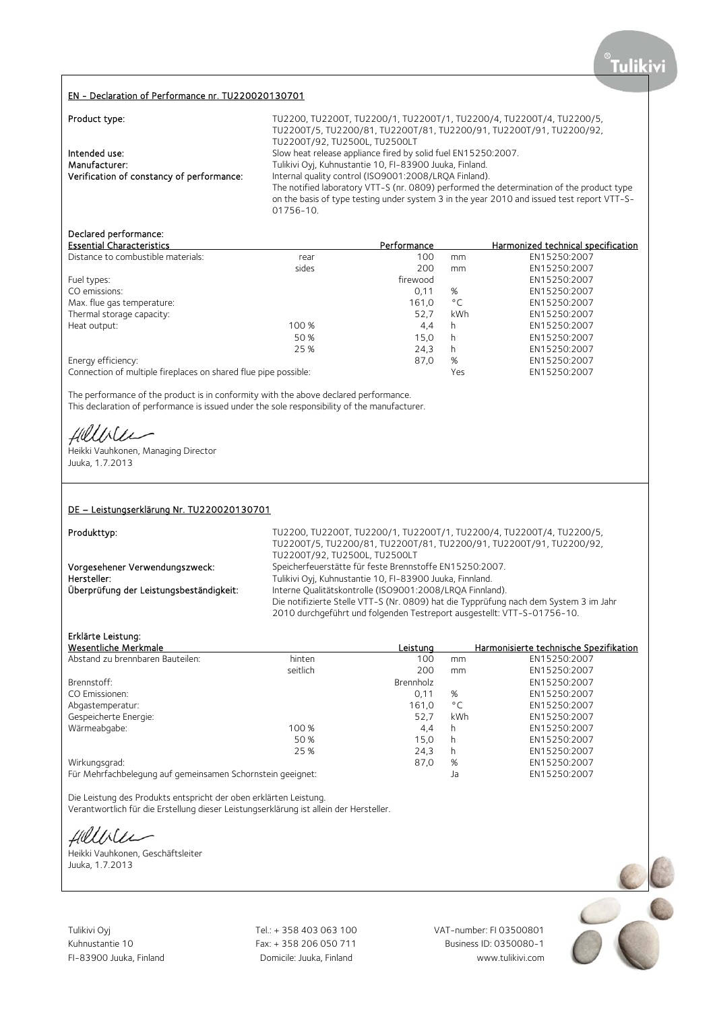## EN - Declaration of Performance nr. TU220020130701

| Product type:                             | TU2200, TU2200T, TU2200/1, TU2200T/1, TU2200/4, TU2200T/4, TU2200/5,<br>TU2200T/5, TU2200/81, TU2200T/81, TU2200/91, TU2200T/91, TU2200/92,<br>TU2200T/92, TU2500L, TU2500LT                        |
|-------------------------------------------|-----------------------------------------------------------------------------------------------------------------------------------------------------------------------------------------------------|
| Intended use:<br>Manufacturer:            | Slow heat release appliance fired by solid fuel EN15250:2007.<br>Tulikivi Oyj, Kuhnustantie 10, FI-83900 Juuka, Finland.                                                                            |
| Verification of constancy of performance: | Internal quality control (ISO9001:2008/LRQA Finland).                                                                                                                                               |
|                                           | The notified laboratory VTT-S (nr. 0809) performed the determination of the product type<br>on the basis of type testing under system 3 in the year 2010 and issued test report VTT-S-<br>01756-10. |

## Declared performance:

| <b>Essential Characteristics</b>                                |       | Performance |              | Harmonized technical specification |
|-----------------------------------------------------------------|-------|-------------|--------------|------------------------------------|
| Distance to combustible materials:                              | rear  | 100         | mm           | EN15250:2007                       |
|                                                                 | sides | 200         | mm           | EN15250:2007                       |
| Fuel types:                                                     |       | firewood    |              | EN15250:2007                       |
| CO emissions:                                                   |       | 0,11        | %            | EN15250:2007                       |
| Max. flue gas temperature:                                      |       | 161.0       | $^{\circ}$ C | EN15250:2007                       |
| Thermal storage capacity:                                       |       | 52.7        | kWh          | EN15250:2007                       |
| Heat output:                                                    | 100 % | 4,4         | h            | EN15250:2007                       |
|                                                                 | 50 %  | 15,0        | h            | EN15250:2007                       |
|                                                                 | 25 %  | 24,3        | h            | EN15250:2007                       |
| Energy efficiency:                                              |       | 87,0        | %            | EN15250:2007                       |
| Connection of multiple fireplaces on shared flue pipe possible: |       |             | Yes          | EN15250:2007                       |

The performance of the product is in conformity with the above declared performance. This declaration of performance is issued under the sole responsibility of the manufacturer.

Hillbler

Heikki Vauhkonen, Managing Director Juuka, 1.7.2013

## DE – Leistungserklärung Nr. TU220020130701

| Produkttyp:                             | TU2200, TU2200T, TU2200/1, TU2200T/1, TU2200/4, TU2200T/4, TU2200/5,                  |
|-----------------------------------------|---------------------------------------------------------------------------------------|
|                                         | TU2200T/5, TU2200/81, TU2200T/81, TU2200/91, TU2200T/91, TU2200/92,                   |
|                                         | TU2200T/92, TU2500L, TU2500LT                                                         |
| Vorgesehener Verwendungszweck:          | Speicherfeuerstätte für feste Brennstoffe EN15250:2007.                               |
| Hersteller:                             | Tulikivi Oyj, Kuhnustantie 10, FI-83900 Juuka, Finnland.                              |
| Überprüfung der Leistungsbeständigkeit: | Interne Qualitätskontrolle (ISO9001:2008/LRQA Finnland).                              |
|                                         | Die notifizierte Stelle VTT-S (Nr. 0809) hat die Typprüfung nach dem System 3 im Jahr |
|                                         | 2010 durchgeführt und folgenden Testreport ausgestellt: VTT-S-01756-10.               |

# Erklärte Leistung:

| Wesentliche Merkmale                                       |          | Leistuna  |              | Harmonisierte technische Spezifikation |
|------------------------------------------------------------|----------|-----------|--------------|----------------------------------------|
| Abstand zu brennbaren Bauteilen:                           | hinten   | 100       | mm           | EN15250:2007                           |
|                                                            | seitlich | 200       | mm           | EN15250:2007                           |
| Brennstoff:                                                |          | Brennholz |              | EN15250:2007                           |
| CO Emissionen:                                             |          | 0,11      | %            | EN15250:2007                           |
| Abgastemperatur:                                           |          | 161.0     | $^{\circ}$ C | EN15250:2007                           |
| Gespeicherte Energie:                                      |          | 52,7      | <b>kWh</b>   | EN15250:2007                           |
| Wärmeabgabe:                                               | 100 %    | 4.4       | h            | EN15250:2007                           |
|                                                            | 50 %     | 15.0      | h            | EN15250:2007                           |
|                                                            | 25 %     | 24,3      | h            | EN15250:2007                           |
| Wirkungsgrad:                                              |          | 87,0      | %            | EN15250:2007                           |
| Für Mehrfachbelegung auf gemeinsamen Schornstein geeignet: |          |           | Ja           | EN15250:2007                           |
|                                                            |          |           |              |                                        |

Die Leistung des Produkts entspricht der oben erklärten Leistung.

Verantwortlich für die Erstellung dieser Leistungserklärung ist allein der Hersteller.

Hilliler

Heikki Vauhkonen, Geschäftsleiter Juuka, 1.7.2013

Tulikivi Oyj Tel.: + 358 403 063 100 VAT-number: FI 03500801

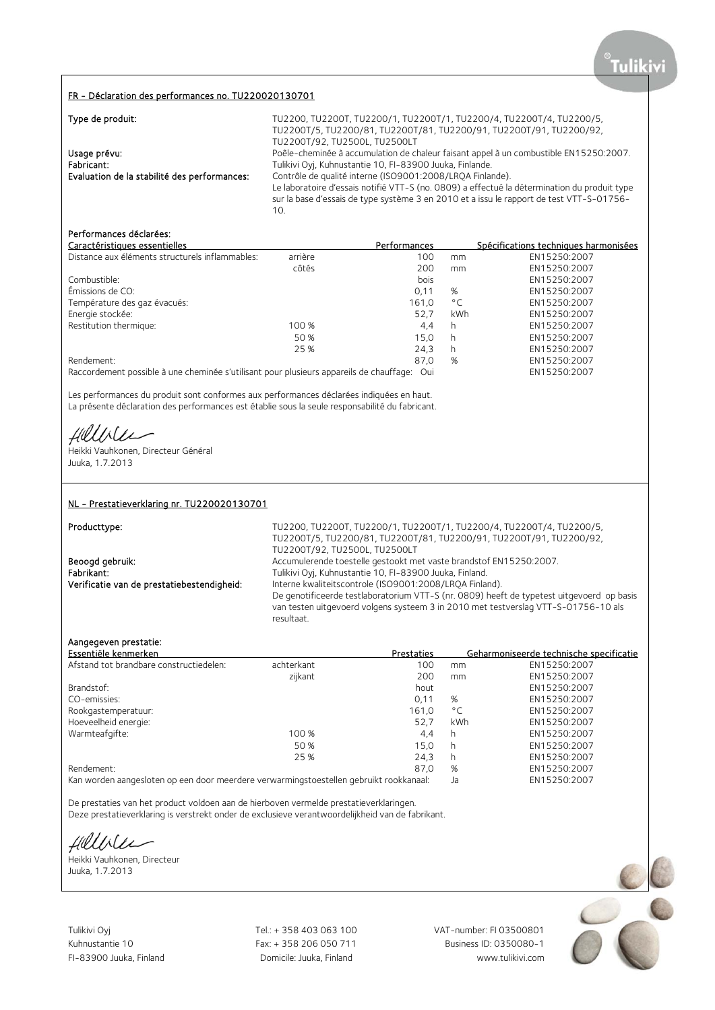### FR - Déclaration des performances no. TU220020130701

| Type de produit:                             | TU2200, TU2200T, TU2200/1, TU2200T/1, TU2200/4, TU2200T/4, TU2200/5,                         |
|----------------------------------------------|----------------------------------------------------------------------------------------------|
|                                              | TU2200T/5, TU2200/81, TU2200T/81, TU2200/91, TU2200T/91, TU2200/92,                          |
|                                              | TU2200T/92, TU2500L, TU2500LT                                                                |
| Usage prévu:                                 | Poêle-cheminée à accumulation de chaleur faisant appel à un combustible EN15250:2007.        |
| Fabricant:                                   | Tulikivi Oyj, Kuhnustantie 10, FI-83900 Juuka, Finlande.                                     |
| Evaluation de la stabilité des performances: | Contrôle de qualité interne (ISO9001:2008/LRQA Finlande).                                    |
|                                              | Le laboratoire d'essais notifié VTT-S (no. 0809) a effectué la détermination du produit type |
|                                              | sur la base d'essais de type système 3 en 2010 et a issu le rapport de test VTT-S-01756-     |
|                                              | 10.                                                                                          |

# Performances déclarées:

| Caractéristiques essentielles                                                          |         | Performances      |              | Spécifications techniques harmonisées |
|----------------------------------------------------------------------------------------|---------|-------------------|--------------|---------------------------------------|
| Distance aux éléments structurels inflammables:                                        | arrière | 100               | mm           | EN15250:2007                          |
|                                                                                        | côtés   | 200               | mm           | EN15250:2007                          |
| Combustible:                                                                           |         | bois              |              | EN15250:2007                          |
| Émissions de CO:                                                                       |         | 0.11              | %            | EN15250:2007                          |
| Température des gaz évacués:                                                           |         | 161.0             | $^{\circ}$ C | EN15250:2007                          |
| Energie stockée:                                                                       |         | 52.7              | kWh          | EN15250:2007                          |
| Restitution thermique:                                                                 | 100 %   | 4.4               | h            | EN15250:2007                          |
|                                                                                        | 50 %    | 15.0              | h            | EN15250:2007                          |
|                                                                                        | 25 %    | 24.3              | h            | EN15250:2007                          |
| Rendement:                                                                             |         | 87.0              | %            | EN15250:2007                          |
| Paccordoment pescible à une cheminée s'utilisant pour plusieurs appareils de chauffage |         | $\bigcap_{i=1}^n$ |              | EN15250.2007                          |

Raccordement possible à une cheminée s'utilisant pour plusieurs appareils de chauffage: Oui EN15250:2007

Les performances du produit sont conformes aux performances déclarées indiquées en haut. La présente déclaration des performances est établie sous la seule responsabilité du fabricant.

Hillble

Heikki Vauhkonen, Directeur Général Juuka, 1.7.2013

### NL - Prestatieverklaring nr. TU220020130701

Producttype: TU2200, TU2200, TU2200, TU2200/1, TU2200T/1, TU2200/4, TU2200T/4, TU2200/5, TU2200T/5, TU2200/81, TU2200T/81, TU2200/91, TU2200T/91, TU2200/92, TU2200T/92, TU2500L, TU2500LT Beoogd gebruik: <br>Accumulerende toestelle gestookt met vaste brandstof EN15250:2007.<br>Tulikivi Ovi. Kuhnustantie 10. FI-83900 Juuka. Finland. Fabrikant: Tulikivi Oyj, Kuhnustantie 10, FI-83900 Juuka, Finland.<br>1. Tulikivi Oyj, Kuhnustantie 10, FI-83900 Juuka, Finland. Verificatie van de prestatiebestendigheid: Interne Interne kwaliteitscontrole (ISO9001:2008/LRQA Finland). De genotificeerde testlaboratorium VTT-S (nr. 0809) heeft de typetest uitgevoerd op basis van testen uitgevoerd volgens systeem 3 in 2010 met testverslag VTT-S-01756-10 als resultaat.

### Aangegeven prestatie:

| Essentiële kenmerken                    |            | Prestaties |              | Geharmoniseerde technische specificatie |
|-----------------------------------------|------------|------------|--------------|-----------------------------------------|
| Afstand tot brandbare constructiedelen: | achterkant | 100        | mm           | EN15250:2007                            |
|                                         | zijkant    | 200        | mm           | EN15250:2007                            |
| Brandstof:                              |            | hout       |              | EN15250:2007                            |
| CO-emissies:                            |            | 0.11       | %            | EN15250:2007                            |
| Rookgastemperatuur:                     |            | 161,0      | $^{\circ}$ C | EN15250:2007                            |
| Hoeveelheid energie:                    |            | 52.7       | <b>kWh</b>   | EN15250:2007                            |
| Warmteafgifte:                          | 100 %      | 4.4        | h            | EN15250:2007                            |
|                                         | 50 %       | 15.0       | h            | EN15250:2007                            |
|                                         | 25 %       | 24,3       | h            | EN15250:2007                            |
| Rendement:                              |            | 87,0       | %            | EN15250:2007                            |
|                                         |            |            |              |                                         |

Kan worden aangesloten op een door meerdere verwarmingstoestellen gebruikt rookkanaal: Ja EN15250:2007

De prestaties van het product voldoen aan de hierboven vermelde prestatieverklaringen. Deze prestatieverklaring is verstrekt onder de exclusieve verantwoordelijkheid van de fabrikant.

Hillbler

Heikki Vauhkonen, Directeur Juuka, 1.7.2013

Tulikivi Oyj Tel.: + 358 403 063 100 VAT-number: FI 03500801

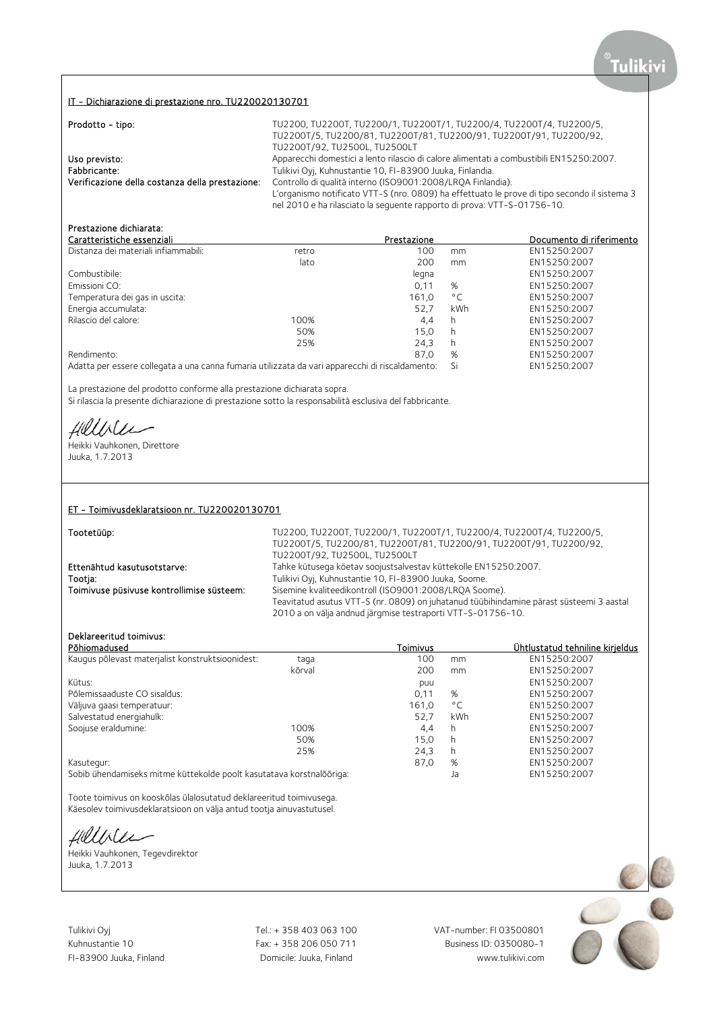### IT - Dichiarazione di prestazione nro. TU220020130701

| Prodotto - tipo:                                | TU2200, TU2200T, TU2200/1, TU2200T/1, TU2200/4, TU2200T/4, TU2200/5,<br>TU2200T/5, TU2200/81, TU2200T/81, TU2200/91, TU2200T/91, TU2200/92,<br>TU2200T/92, TU2500L, TU2500LT                                                           |
|-------------------------------------------------|----------------------------------------------------------------------------------------------------------------------------------------------------------------------------------------------------------------------------------------|
| Uso previsto:<br>Fabbricante:                   | Apparecchi domestici a lento rilascio di calore alimentati a combustibili EN15250:2007.<br>Tulikivi Oyj, Kuhnustantie 10, FI-83900 Juuka, Finlandia.                                                                                   |
| Verificazione della costanza della prestazione: | Controllo di qualità interno (ISO9001:2008/LRQA Finlandia).<br>L'organismo notificato VTT-S (nro. 0809) ha effettuato le prove di tipo secondo il sistema 3<br>nel 2010 e ha rilasciato la sequente rapporto di prova: VTT-S-01756-10. |

# Prestazione dichiarata:

| Caratteristiche essenziali                                                                      |       | Prestazione |              | Documento di riferimento |
|-------------------------------------------------------------------------------------------------|-------|-------------|--------------|--------------------------|
| Distanza dei materiali infiammabili:                                                            | retro | 100         | mm           | EN15250:2007             |
|                                                                                                 | lato  | 200         | mm           | EN15250:2007             |
| Combustibile:                                                                                   |       | legna       |              | EN15250:2007             |
| Emissioni CO:                                                                                   |       | 0,11        | %            | EN15250:2007             |
| Temperatura dei gas in uscita:                                                                  |       | 161.0       | $^{\circ}$ C | EN15250:2007             |
| Energia accumulata:                                                                             |       | 52.7        | kWh          | EN15250:2007             |
| Rilascio del calore:                                                                            | 100%  | 4.4         | h            | EN15250:2007             |
|                                                                                                 | 50%   | 15.0        | h            | EN15250:2007             |
|                                                                                                 | 25%   | 24.3        | h            | EN15250:2007             |
| Rendimento:                                                                                     |       | 87.0        | %            | EN15250:2007             |
| Adatta per essere collegata a una canna fumaria utilizzata da vari apparecchi di riscaldamento: |       |             | Si           | EN15250:2007             |

La prestazione del prodotto conforme alla prestazione dichiarata sopra. Si rilascia la presente dichiarazione di prestazione sotto la responsabilità esclusiva del fabbricante.

Hillile

Heikki Vauhkonen, Direttore Juuka, 1.7.2013

#### ET - Toimivusdeklaratsioon nr. TU220020130701

| Tootetüüp: |
|------------|
|------------|

TU2200, TU2200T, TU2200/1, TU2200T/1, TU2200/4, TU2200T/4, TU2200/5, TU2200T/5, TU2200/81, TU2200T/81, TU2200/91, TU2200T/91, TU2200/92, TU2200T/92, TU2500L, TU2500LT Ettenähtud kasutusotstarve: Tahke kütusega köetav soojustsalvestav küttekolle EN15250:2007. Tootja: Tulikivi Oyj, Kuhnustantie 10, FI-83900 Juuka, Soome. Sisemine kvaliteedikontroll (ISO9001:2008/LRQA Soome). Teavitatud asutus VTT-S (nr. 0809) on juhatanud tüübihindamine pärast süsteemi 3 aastal 2010 a on välja andnud järgmise testraporti VTT-S-01756-10.

# Deklareeritud toimivus:

| Põhiomadused                                                         |        | Toimivus |              | Ühtlustatud tehniline kirjeldus |
|----------------------------------------------------------------------|--------|----------|--------------|---------------------------------|
| Kaugus põlevast materjalist konstruktsioonidest:                     | taga   | 100      | mm           | EN15250:2007                    |
|                                                                      | kõrval | 200      | mm           | EN15250:2007                    |
| Kütus:                                                               |        | puu      |              | EN15250:2007                    |
| Põlemissaaduste CO sisaldus:                                         |        | 0,11     | %            | EN15250:2007                    |
| Väljuva gaasi temperatuur:                                           |        | 161.0    | $^{\circ}$ C | EN15250:2007                    |
| Salvestatud energiahulk:                                             |        | 52.7     | kWh          | EN15250:2007                    |
| Soojuse eraldumine:                                                  | 100%   | 4.4      | h            | EN15250:2007                    |
|                                                                      | 50%    | 15,0     | h            | EN15250:2007                    |
|                                                                      | 25%    | 24,3     | h            | EN15250:2007                    |
| Kasutegur:                                                           |        | 87.0     | %            | EN15250:2007                    |
| Sobib ühendamiseks mitme küttekolde poolt kasutatava korstnalõõriga: |        |          | Ja           | EN15250:2007                    |

Toote toimivus on kooskõlas ülalosutatud deklareeritud toimivusega. Käesolev toimivusdeklaratsioon on välja antud tootja ainuvastutusel.

Hilliler

Heikki Vauhkonen, Tegevdirektor Juuka, 1.7.2013

Tulikivi Oyj Tel.: + 358 403 063 100 VAT-number: FI 03500801

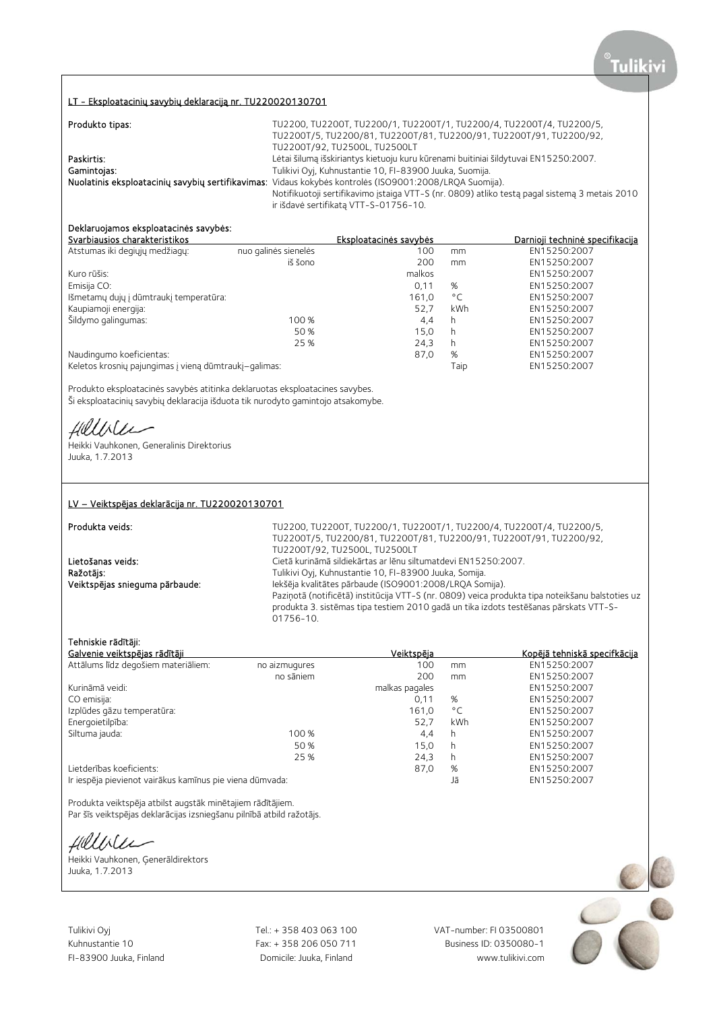### LT - Eksploatacinių savybių deklaraciją nr. TU220020130701

| Produkto tipas: | TU2200, TU2200T, TU2200/1, TU2200T/1, TU2200/4, TU2200T/4, TU2200/5,                                    |
|-----------------|---------------------------------------------------------------------------------------------------------|
|                 | TU2200T/5, TU2200/81, TU2200T/81, TU2200/91, TU2200T/91, TU2200/92,                                     |
|                 | TU2200T/92, TU2500L, TU2500LT                                                                           |
| Paskirtis:      | Lėtai šilumą išskiriantys kietuoju kuru kūrenami buitiniai šildytuvai EN15250:2007.                     |
| Gamintojas:     | Tulikivi Oyj, Kuhnustantie 10, FI-83900 Juuka, Suomija.                                                 |
|                 | Nuolatinis eksploatacinių savybių sertifikavimas: Vidaus kokybės kontrolės (ISO9001:2008/LRQA Suomija). |
|                 | Notifikuotoji sertifikavimo įstaiga VTT-S (nr. 0809) atliko testą pagal sistemą 3 metais 2010           |
|                 | ir išdavė sertifikatą VTT-S-01756-10.                                                                   |

# Deklaruojamos eksploatacinės savybės:

| Svarbiausios charakteristikos                         |                      | Eksploatacinės savybės |              | Darnioji techninė specifikacija |
|-------------------------------------------------------|----------------------|------------------------|--------------|---------------------------------|
| Atstumas iki degiųjų medžiagų:                        | nuo galinės sienelės | 100                    | mm           | EN15250:2007                    |
|                                                       | iš šono              | 200                    | mm           | EN15250:2007                    |
| Kuro rūšis:                                           |                      | malkos                 |              | EN15250:2007                    |
| Emisija CO:                                           |                      | 0,11                   | %            | EN15250:2007                    |
| Išmetamų dujų į dūmtraukį temperatūra:                |                      | 161.0                  | $^{\circ}$ C | EN15250:2007                    |
| Kaupiamoji energija:                                  |                      | 52.7                   | kWh          | EN15250:2007                    |
| Šildymo galingumas:                                   | 100 %                | 4.4                    | h            | EN15250:2007                    |
|                                                       | 50 %                 | 15.0                   | h            | EN15250:2007                    |
|                                                       | 25 %                 | 24,3                   | h            | EN15250:2007                    |
| Naudingumo koeficientas:                              |                      | 87,0                   | %            | EN15250:2007                    |
| Keletos krosnių pajungimas į vieną dūmtraukį-galimas: |                      |                        | Taip         | EN15250:2007                    |

Produkto eksploatacinės savybės atitinka deklaruotas eksploatacines savybes. Ši eksploatacinių savybių deklaracija išduota tik nurodyto gamintojo atsakomybe.

Hillile

Heikki Vauhkonen, Generalinis Direktorius Juuka, 1.7.2013

### LV – Veiktspējas deklarācija nr. TU220020130701

#### Produkta veids: TU2200, TU2200T, TU2200/1, TU2200T/1, TU2200/4, TU2200T/4, TU2200/5, TU2200T/5, TU2200/81, TU2200T/81, TU2200/91, TU2200T/91, TU2200/92, TU2200T/92, TU2500L, TU2500LT Lietošanas veids: Cietā kurināmā sildiekārtas ar lēnu siltumatdevi EN15250:2007.<br>
Ražotāis: Cietā kurināmā sildiekārtas ar lēnu siltumatdevi EN15250:2007. Ražotājs: Tulikivi Oyj, Kuhnustantie 10, FI-83900 Juuka, Somija. Iekšēja kvalitātes pārbaude (ISO9001:2008/LRQA Somija). Paziņotā (notificētā) institūcija VTT-S (nr. 0809) veica produkta tipa noteikšanu balstoties uz produkta 3. sistēmas tipa testiem 2010 gadā un tika izdots testēšanas pārskats VTT-S-01756-10.

#### Tehniskie rādītāji:

| Galvenie veiktspējas rādītāji                            |               | <b>Veiktspēja</b> |              | Kopējā tehniskā specifkācija |
|----------------------------------------------------------|---------------|-------------------|--------------|------------------------------|
| Attālums līdz degošiem materiāliem:                      | no aizmugures | 100               | mm           | EN15250:2007                 |
|                                                          | no sāniem     | 200               | mm           | EN15250:2007                 |
| Kurināmā veidi:                                          |               | malkas pagales    |              | EN15250:2007                 |
| CO emisija:                                              |               | 0.11              | %            | EN15250:2007                 |
| Izplūdes gāzu temperatūra:                               |               | 161.0             | $^{\circ}$ C | EN15250:2007                 |
| Energoietilpība:                                         |               | 52.7              | <b>kWh</b>   | EN15250:2007                 |
| Siltuma jauda:                                           | 100 %         | 4,4               | h            | EN15250:2007                 |
|                                                          | 50 %          | 15,0              | h            | EN15250:2007                 |
|                                                          | 25 %          | 24,3              | h            | EN15250:2007                 |
| Lietderības koeficients:                                 |               | 87,0              | %            | EN15250:2007                 |
| Ir iespēja pievienot vairākus kamīnus pie viena dūmvada: |               |                   | Jā           | EN15250:2007                 |

Produkta veiktspēja atbilst augstāk minētajiem rādītājiem. Par šīs veiktspējas deklarācijas izsniegšanu pilnībā atbild ražotājs.

Hillble

Heikki Vauhkonen, Ģenerāldirektors Juuka, 1.7.2013

Tulikivi Oyj Tel.: + 358 403 063 100 VAT-number: FI 03500801

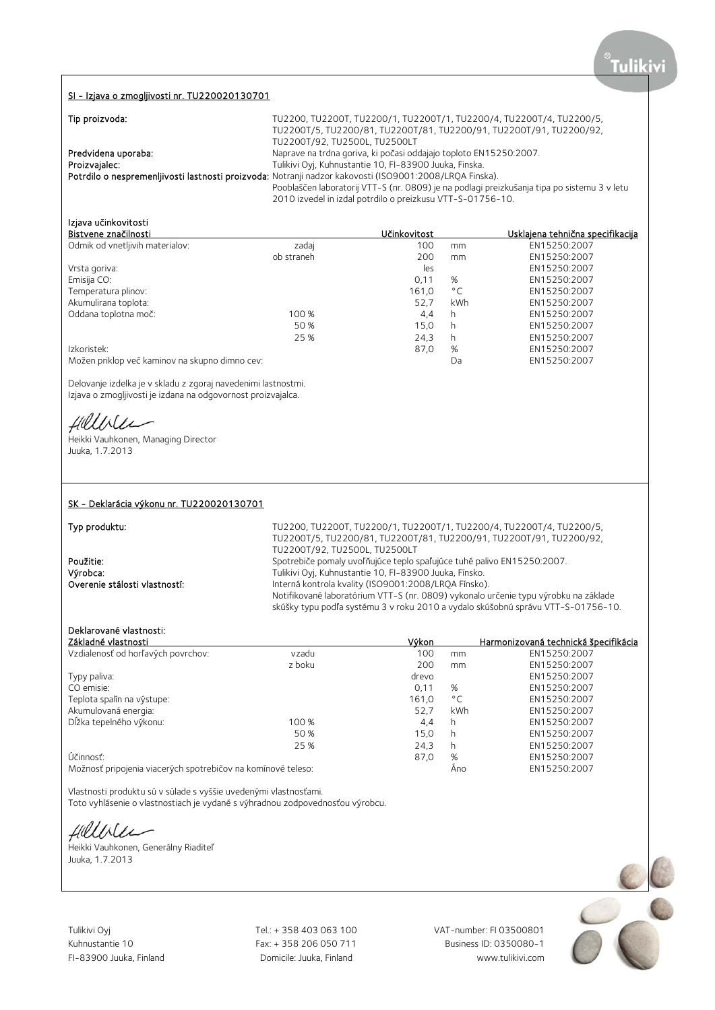### SI - Izjava o zmogljivosti nr. TU220020130701

| Tip proizvoda:      | TU2200, TU2200T, TU2200/1, TU2200T/1, TU2200/4, TU2200T/4, TU2200/5,                                    |
|---------------------|---------------------------------------------------------------------------------------------------------|
|                     | TU2200T/5, TU2200/81, TU2200T/81, TU2200/91, TU2200T/91, TU2200/92,                                     |
|                     | TU2200T/92, TU2500L, TU2500LT                                                                           |
| Predvidena uporaba: | Naprave na trdna goriva, ki počasi oddajajo toploto EN15250:2007.                                       |
| Proizvajalec:       | Tulikivi Oyi, Kuhnustantie 10, FI-83900 Juuka, Finska.                                                  |
|                     | Potrdilo o nespremenljivosti lastnosti proizvoda: Notranji nadzor kakovosti (ISO9001:2008/LRQA Finska). |
|                     | Pooblaščen laboratorij VTT-S (nr. 0809) je na podlagi preizkušanja tipa po sistemu 3 v letu             |
|                     | 2010 izvedel in izdal potrdilo o preizkusu VTT-S-01756-10.                                              |

## Izjava učinkovitosti

| Bistvene značilnosti                           |            | Učinkovitost |               | Usklaiena tehnična specifikacija |
|------------------------------------------------|------------|--------------|---------------|----------------------------------|
| Odmik od vnetljivih materialov:                | zadaj      | 100          | mm            | EN15250:2007                     |
|                                                | ob straneh | 200          | <sub>mm</sub> | EN15250:2007                     |
| Vrsta goriva:                                  |            | les          |               | EN15250:2007                     |
| Emisija CO:                                    |            | 0.11         | %             | EN15250:2007                     |
| Temperatura plinov:                            |            | 161.0        | $^{\circ}$ C  | EN15250:2007                     |
| Akumulirana toplota:                           |            | 52,7         | kWh           | EN15250:2007                     |
| Oddana toplotna moč:                           | 100 %      | 4,4          | h             | EN15250:2007                     |
|                                                | 50 %       | 15.0         | h             | EN15250:2007                     |
|                                                | 25 %       | 24,3         | h             | EN15250:2007                     |
| Izkoristek:                                    |            | 87,0         | %             | EN15250:2007                     |
| Možen priklop več kaminov na skupno dimno cev: |            |              | Da            | EN15250:2007                     |

Delovanje izdelka je v skladu z zgoraj navedenimi lastnostmi.

Izjava o zmogljivosti je izdana na odgovornost proizvajalca.

Hillble

Heikki Vauhkonen, Managing Director Juuka, 1.7.2013

### SK - Deklarácia výkonu nr. TU220020130701

Typ produktu: TU2200, TU2200T, TU2200/1, TU2200T/1, TU2200/4, TU2200T/4, TU2200/5, TU2200T/5, TU2200/81, TU2200T/81, TU2200/91, TU2200T/91, TU2200/92, TU2200T/92, TU2500L, TU2500LT **Použitie:** Spotrebiče pomaly uvoľňujúce teplo spaľujúce tuhé palivo EN15250:2007.<br>
Výrobca: Spotrebiče pomaly uvoľňujúce teplo spaľujúce tuhé palivo EN15250:2007. Výrobca: Tulikivi Oyj, Kuhnustantie 10, FI-83900 Juuka, Fínsko. Interná kontrola kvality (ISO9001:2008/LRQA Fínsko). Notifikované laboratórium VTT-S (nr. 0809) vykonalo určenie typu výrobku na základe skúšky typu podľa systému 3 v roku 2010 a vydalo skúšobnú správu VTT-S-01756-10.

# Deklarované vlastnosti:

| Základné vlastnosti                                          |        | Výkon |              | Harmonizovaná technická špecifikácia |
|--------------------------------------------------------------|--------|-------|--------------|--------------------------------------|
| Vzdialenosť od horľavých povrchov:                           | vzadu  | 100   | mm           | EN15250:2007                         |
|                                                              | z boku | 200   | mm           | EN15250:2007                         |
| Typy paliva:                                                 |        | drevo |              | EN15250:2007                         |
| CO emisie:                                                   |        | 0,11  | %            | EN15250:2007                         |
| Teplota spalín na výstupe:                                   |        | 161.0 | $^{\circ}$ C | EN15250:2007                         |
| Akumulovaná energia:                                         |        | 52.7  | kWh          | EN15250:2007                         |
| Dĺžka tepelného výkonu:                                      | 100 %  | 4,4   | h            | EN15250:2007                         |
|                                                              | 50 %   | 15.0  | h            | EN15250:2007                         |
|                                                              | 25 %   | 24,3  | h.           | EN15250:2007                         |
| Účinnosť:                                                    |        | 87.0  | %            | EN15250:2007                         |
| Možnosť pripojenia viacerých spotrebičov na komínové teleso: |        |       | Ano          | EN15250:2007                         |

Vlastnosti produktu sú v súlade s vyššie uvedenými vlastnosťami.

Toto vyhlásenie o vlastnostiach je vydané s výhradnou zodpovednosťou výrobcu.

Hillbler

Heikki Vauhkonen, Generálny Riaditeľ Juuka, 1.7.2013

Tulikivi Oyj Tel.: + 358 403 063 100 VAT-number: FI 03500801